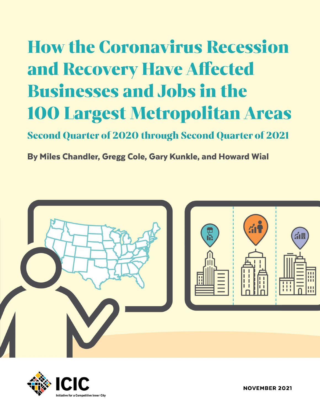# How the Coronavirus Recession and Recovery Have Affected Businesses and Jobs in the 100 Largest Metropolitan Areas

Second Quarter of 2020 through Second Quarter of 2021

By Miles Chandler, Gregg Cole, Gary Kunkle, and Howard Wial





NOVEMBER 2021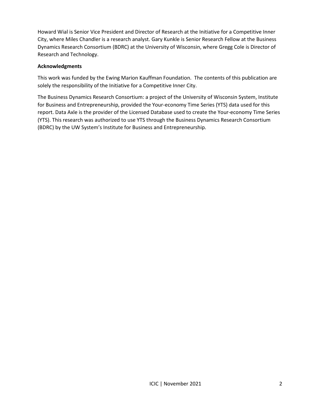Howard Wial is Senior Vice President and Director of Research at the Initiative for a Competitive Inner City, where Miles Chandler is a research analyst. Gary Kunkle is Senior Research Fellow at the Business Dynamics Research Consortium (BDRC) at the University of Wisconsin, where Gregg Cole is Director of Research and Technology.

#### **Acknowledgments**

This work was funded by the Ewing Marion Kauffman Foundation. The contents of this publication are solely the responsibility of the Initiative for a Competitive Inner City.

The Business Dynamics Research Consortium: a project of the University of Wisconsin System, Institute for Business and Entrepreneurship, provided the Your-economy Time Series (YTS) data used for this report. Data Axle is the provider of the Licensed Database used to create the Your-economy Time Series (YTS). This research was authorized to use YTS through the Business Dynamics Research Consortium (BDRC) by the UW System's Institute for Business and Entrepreneurship.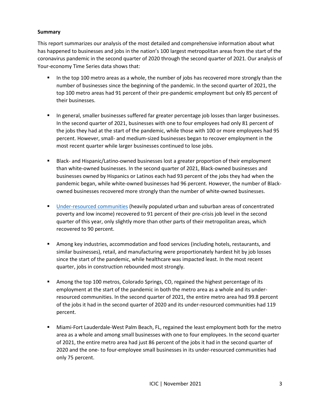#### **Summary**

This report summarizes our analysis of the most detailed and comprehensive information about what has happened to businesses and jobs in the nation's 100 largest metropolitan areas from the start of the coronavirus pandemic in the second quarter of 2020 through the second quarter of 2021. Our analysis of Your-economy Time Series data shows that:

- **■** In the top 100 metro areas as a whole, the number of jobs has recovered more strongly than the number of businesses since the beginning of the pandemic. In the second quarter of 2021, the top 100 metro areas had 91 percent of their pre-pandemic employment but only 85 percent of their businesses.
- **■** In general, smaller businesses suffered far greater percentage job losses than larger businesses. In the second quarter of 2021, businesses with one to four employees had only 81 percent of the jobs they had at the start of the pandemic, while those with 100 or more employees had 95 percent. However, small- and medium-sized businesses began to recover employment in the most recent quarter while larger businesses continued to lose jobs.
- Black- and Hispanic/Latino-owned businesses lost a greater proportion of their employment than white-owned businesses. In the second quarter of 2021, Black-owned businesses and businesses owned by Hispanics or Latinos each had 93 percent of the jobs they had when the pandemic began, while white-owned businesses had 96 percent. However, the number of Blackowned businesses recovered more strongly than the number of white-owned businesses.
- [Under-resourced communities](https://icic.org/wp-content/uploads/2020/10/The-New-Face-of_Under-Resourced-Communities.pdf) (heavily populated urban and suburban areas of concentrated poverty and low income) recovered to 91 percent of their pre-crisis job level in the second quarter of this year, only slightly more than other parts of their metropolitan areas, which recovered to 90 percent.
- **EXECT** Among key industries, accommodation and food services (including hotels, restaurants, and similar businesses), retail, and manufacturing were proportionately hardest hit by job losses since the start of the pandemic, while healthcare was impacted least. In the most recent quarter, jobs in construction rebounded most strongly.
- **■** Among the top 100 metros, Colorado Springs, CO, regained the highest percentage of its employment at the start of the pandemic in both the metro area as a whole and its underresourced communities. In the second quarter of 2021, the entire metro area had 99.8 percent of the jobs it had in the second quarter of 2020 and its under-resourced communities had 119 percent.
- **■** Miami-Fort Lauderdale-West Palm Beach, FL, regained the least employment both for the metro area as a whole and among small businesses with one to four employees. In the second quarter of 2021, the entire metro area had just 86 percent of the jobs it had in the second quarter of 2020 and the one- to four-employee small businesses in its under-resourced communities had only 75 percent.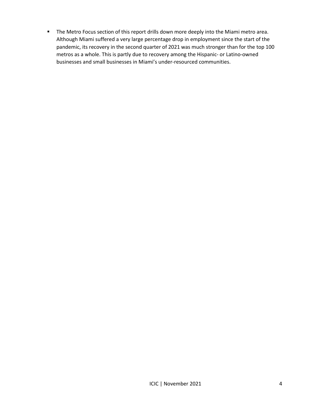**■** The Metro Focus section of this report drills down more deeply into the Miami metro area. Although Miami suffered a very large percentage drop in employment since the start of the pandemic, its recovery in the second quarter of 2021 was much stronger than for the top 100 metros as a whole. This is partly due to recovery among the Hispanic- or Latino-owned businesses and small businesses in Miami's under-resourced communities.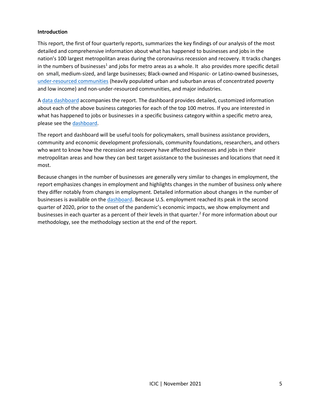#### **Introduction**

This report, the first of four quarterly reports, summarizes the key findings of our analysis of the most detailed and comprehensive information about what has happened to businesses and jobs in the nation's 100 largest metropolitan areas during the coronavirus recession and recovery. It tracks changes in the numbers of businesses<sup>1</sup> and jobs for metro areas as a whole. It also provides more specific detail on small, medium-sized, and large businesses; Black-owned and Hispanic- or Latino-owned businesses, [under-resourced communities](https://icic.org/wp-content/uploads/2020/10/The-New-Face-of_Under-Resourced-Communities.pdf) (heavily populated urban and suburban areas of concentrated poverty and low income) and non-under-resourced communities, and major industries.

A [data dashboard](http://youreconomy.org/topmetrorecoverytracker) accompanies the report. The dashboard provides detailed, customized information about each of the above business categories for each of the top 100 metros. If you are interested in what has happened to jobs or businesses in a specific business category within a specific metro area, please see th[e dashboard.](http://youreconomy.org/topmetrorecoverytracker)

The report and dashboard will be useful tools for policymakers, small business assistance providers, community and economic development professionals, community foundations, researchers, and others who want to know how the recession and recovery have affected businesses and jobs in their metropolitan areas and how they can best target assistance to the businesses and locations that need it most.

Because changes in the number of businesses are generally very similar to changes in employment, the report emphasizes changes in employment and highlights changes in the number of business only where they differ notably from changes in employment. Detailed information about changes in the number of businesses is available on the [dashboard.](http://youreconomy.org/topmetrorecoverytracker) Because U.S. employment reached its peak in the second quarter of 2020, prior to the onset of the pandemic's economic impacts, we show employment and businesses in each quarter as a percent of their levels in that quarter. 2 For more information about our methodology, see the methodology section at the end of the report.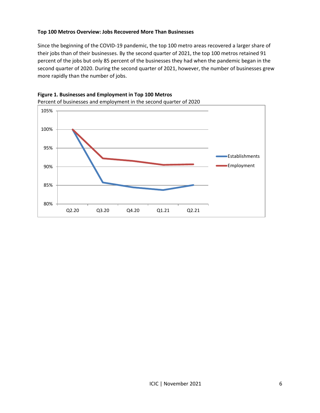#### **Top 100 Metros Overview: Jobs Recovered More Than Businesses**

Since the beginning of the COVID-19 pandemic, the top 100 metro areas recovered a larger share of their jobs than of their businesses. By the second quarter of 2021, the top 100 metros retained 91 percent of the jobs but only 85 percent of the businesses they had when the pandemic began in the second quarter of 2020. During the second quarter of 2021, however, the number of businesses grew more rapidly than the number of jobs.



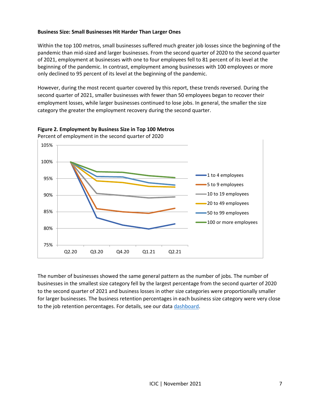## **Business Size: Small Businesses Hit Harder Than Larger Ones**

Within the top 100 metros, small businesses suffered much greater job losses since the beginning of the pandemic than mid-sized and larger businesses. From the second quarter of 2020 to the second quarter of 2021, employment at businesses with one to four employees fell to 81 percent of its level at the beginning of the pandemic. In contrast, employment among businesses with 100 employees or more only declined to 95 percent of its level at the beginning of the pandemic.

However, during the most recent quarter covered by this report, these trends reversed. During the second quarter of 2021, smaller businesses with fewer than 50 employees began to recover their employment losses, while larger businesses continued to lose jobs. In general, the smaller the size category the greater the employment recovery during the second quarter.





The number of businesses showed the same general pattern as the number of jobs. The number of businesses in the smallest size category fell by the largest percentage from the second quarter of 2020 to the second quarter of 2021 and business losses in other size categories were proportionally smaller for larger businesses. The business retention percentages in each business size category were very close to the job retention percentages. For details, see our data [dashboard.](http://youreconomy.org/topmetrorecoverytracker)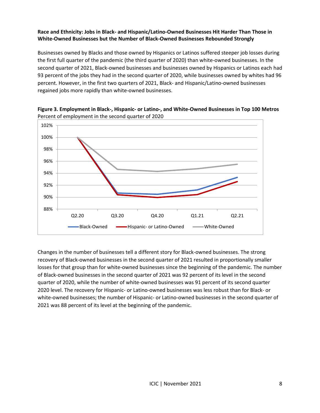# **Race and Ethnicity: Jobs in Black- and Hispanic/Latino-Owned Businesses Hit Harder Than Those in White-Owned Businesses but the Number of Black-Owned Businesses Rebounded Strongly**

Businesses owned by Blacks and those owned by Hispanics or Latinos suffered steeper job losses during the first full quarter of the pandemic (the third quarter of 2020) than white-owned businesses. In the second quarter of 2021, Black-owned businesses and businesses owned by Hispanics or Latinos each had 93 percent of the jobs they had in the second quarter of 2020, while businesses owned by whites had 96 percent. However, in the first two quarters of 2021, Black- and Hispanic/Latino-owned businesses regained jobs more rapidly than white-owned businesses.



**Figure 3. Employment in Black-, Hispanic- or Latino-, and White-Owned Businesses in Top 100 Metros** Percent of employment in the second quarter of 2020

Changes in the number of businesses tell a different story for Black-owned businesses. The strong recovery of Black-owned businesses in the second quarter of 2021 resulted in proportionally smaller losses for that group than for white-owned businesses since the beginning of the pandemic. The number of Black-owned businesses in the second quarter of 2021 was 92 percent of its level in the second quarter of 2020, while the number of white-owned businesses was 91 percent of its second quarter 2020 level. The recovery for Hispanic- or Latino-owned businesses was less robust than for Black- or white-owned businesses; the number of Hispanic- or Latino-owned businesses in the second quarter of 2021 was 88 percent of its level at the beginning of the pandemic.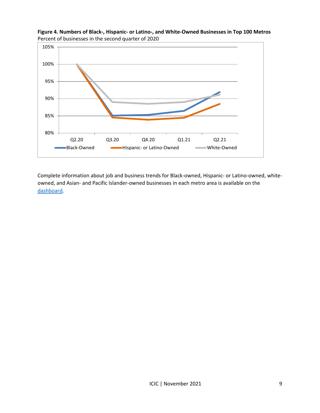

**Figure 4. Numbers of Black-, Hispanic- or Latino-, and White-Owned Businesses in Top 100 Metros** Percent of businesses in the second quarter of 2020

Complete information about job and business trends for Black-owned, Hispanic- or Latino-owned, whiteowned, and Asian- and Pacific Islander-owned businesses in each metro area is available on the [dashboard.](http://youreconomy.org/topmetrorecoverytracker)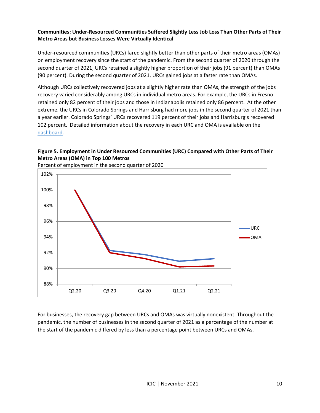# **Communities: Under-Resourced Communities Suffered Slightly Less Job Loss Than Other Parts of Their Metro Areas but Business Losses Were Virtually Identical**

Under-resourced communities (URCs) fared slightly better than other parts of their metro areas (OMAs) on employment recovery since the start of the pandemic. From the second quarter of 2020 through the second quarter of 2021, URCs retained a slightly higher proportion of their jobs (91 percent) than OMAs (90 percent). During the second quarter of 2021, URCs gained jobs at a faster rate than OMAs.

Although URCs collectively recovered jobs at a slightly higher rate than OMAs, the strength of the jobs recovery varied considerably among URCs in individual metro areas. For example, the URCs in Fresno retained only 82 percent of their jobs and those in Indianapolis retained only 86 percent. At the other extreme, the URCs in Colorado Springs and Harrisburg had more jobs in the second quarter of 2021 than a year earlier. Colorado Springs' URCs recovered 119 percent of their jobs and Harrisburg's recovered 102 percent. Detailed information about the recovery in each URC and OMA is available on the [dashboard.](http://youreconomy.org/topmetrorecoverytracker)

# **Figure 5. Employment in Under Resourced Communities (URC) Compared with Other Parts of Their Metro Areas (OMA) in Top 100 Metros**



Percent of employment in the second quarter of 2020

For businesses, the recovery gap between URCs and OMAs was virtually nonexistent. Throughout the pandemic, the number of businesses in the second quarter of 2021 as a percentage of the number at the start of the pandemic differed by less than a percentage point between URCs and OMAs.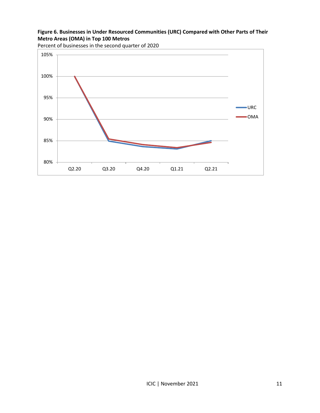# **Figure 6. Businesses in Under Resourced Communities (URC) Compared with Other Parts of Their Metro Areas (OMA) in Top 100 Metros**



Percent of businesses in the second quarter of 2020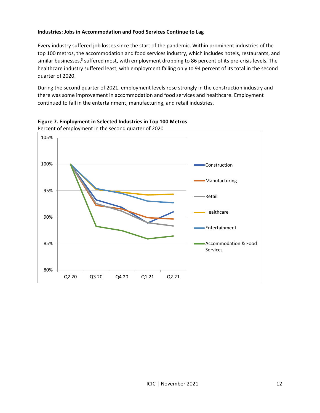# **Industries: Jobs in Accommodation and Food Services Continue to Lag**

Every industry suffered job losses since the start of the pandemic. Within prominent industries of the top 100 metros, the accommodation and food services industry, which includes hotels, restaurants, and similar businesses,<sup>3</sup> suffered most, with employment dropping to 86 percent of its pre-crisis levels. The healthcare industry suffered least, with employment falling only to 94 percent of its total in the second quarter of 2020.

During the second quarter of 2021, employment levels rose strongly in the construction industry and there was some improvement in accommodation and food services and healthcare. Employment continued to fall in the entertainment, manufacturing, and retail industries.



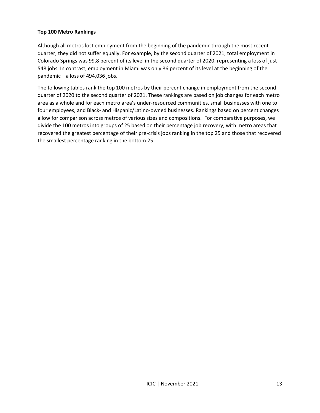#### **Top 100 Metro Rankings**

Although all metros lost employment from the beginning of the pandemic through the most recent quarter, they did not suffer equally. For example, by the second quarter of 2021, total employment in Colorado Springs was 99.8 percent of its level in the second quarter of 2020, representing a loss of just 548 jobs. In contrast, employment in Miami was only 86 percent of its level at the beginning of the pandemic—a loss of 494,036 jobs.

The following tables rank the top 100 metros by their percent change in employment from the second quarter of 2020 to the second quarter of 2021. These rankings are based on job changes for each metro area as a whole and for each metro area's under-resourced communities, small businesses with one to four employees, and Black- and Hispanic/Latino-owned businesses. Rankings based on percent changes allow for comparison across metros of various sizes and compositions. For comparative purposes, we divide the 100 metros into groups of 25 based on their percentage job recovery, with metro areas that recovered the greatest percentage of their pre-crisis jobs ranking in the top 25 and those that recovered the smallest percentage ranking in the bottom 25.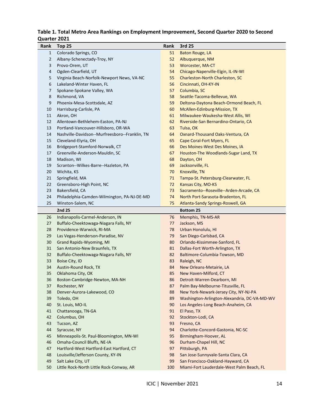# **Table 1. Total Metro Area Rankings on Employment Improvement, Second Quarter 2020 to Second Quarter 2021**

| Rank           | Top 25                                         | Rank | 3rd 25                                       |
|----------------|------------------------------------------------|------|----------------------------------------------|
| $\mathbf{1}$   | Colorado Springs, CO                           | 51   | Baton Rouge, LA                              |
| $\overline{2}$ | Albany-Schenectady-Troy, NY                    | 52   | Albuquerque, NM                              |
| 3              | Provo-Orem, UT                                 | 53   | Worcester, MA-CT                             |
| 4              | Ogden-Clearfield, UT                           | 54   | Chicago-Naperville-Elgin, IL-IN-WI           |
| 5              | Virginia Beach-Norfolk-Newport News, VA-NC     | 55   | Charleston-North Charleston, SC              |
| 6              | Lakeland-Winter Haven, FL                      | 56   | Cincinnati, OH-KY-IN                         |
| 7              | Spokane-Spokane Valley, WA                     | 57   | Columbia, SC                                 |
| 8              | Richmond, VA                                   | 58   | Seattle-Tacoma-Bellevue, WA                  |
| 9              | Phoenix-Mesa-Scottsdale, AZ                    | 59   | Deltona-Daytona Beach-Ormond Beach, FL       |
| 10             | Harrisburg-Carlisle, PA                        | 60   | McAllen-Edinburg-Mission, TX                 |
| 11             | Akron, OH                                      | 61   | Milwaukee-Waukesha-West Allis, WI            |
| 12             | Allentown-Bethlehem-Easton, PA-NJ              | 62   | Riverside-San Bernardino-Ontario, CA         |
| 13             | Portland-Vancouver-Hillsboro, OR-WA            | 63   | Tulsa, OK                                    |
| 14             | Nashville-Davidson--Murfreesboro--Franklin, TN | 64   | Oxnard-Thousand Oaks-Ventura, CA             |
| 15             | Cleveland-Elyria, OH                           | 65   | <b>Cape Coral-Fort Myers, FL</b>             |
| 16             | Bridgeport-Stamford-Norwalk, CT                | 66   | Des Moines-West Des Moines, IA               |
| 17             | Greenville-Anderson-Mauldin, SC                | 67   | Houston-The Woodlands-Sugar Land, TX         |
| 18             | Madison, WI                                    | 68   | Dayton, OH                                   |
| 19             | Scranton--Wilkes-Barre--Hazleton, PA           | 69   | Jacksonville, FL                             |
| 20             | Wichita, KS                                    | 70   | Knoxville, TN                                |
| 21             | Springfield, MA                                | 71   | Tampa-St. Petersburg-Clearwater, FL          |
| 22             | Greensboro-High Point, NC                      | 72   | Kansas City, MO-KS                           |
| 23             | Bakersfield, CA                                | 73   | Sacramento--Roseville--Arden-Arcade, CA      |
| 24             | Philadelphia-Camden-Wilmington, PA-NJ-DE-MD    | 74   | North Port-Sarasota-Bradenton, FL            |
| 25             | Winston-Salem, NC                              | 75   | Atlanta-Sandy Springs-Roswell, GA            |
|                | 2nd 25                                         |      | <b>Bottom 25</b>                             |
| 26             | Indianapolis-Carmel-Anderson, IN               | 76   | Memphis, TN-MS-AR                            |
| 27             | Buffalo-Cheektowaga-Niagara Falls, NY          | 77   | Jackson, MS                                  |
| 28             | Providence-Warwick, RI-MA                      | 78   | Urban Honolulu, HI                           |
| 29             | Las Vegas-Henderson-Paradise, NV               | 79   | San Diego-Carlsbad, CA                       |
| 30             | Grand Rapids-Wyoming, MI                       | 80   | Orlando-Kissimmee-Sanford, FL                |
| 31             | San Antonio-New Braunfels, TX                  | 81   | Dallas-Fort Worth-Arlington, TX              |
| 32             | Buffalo-Cheektowaga-Niagara Falls, NY          | 82   | Baltimore-Columbia-Towson, MD                |
| 33             | Boise City, ID                                 | 83   | Raleigh, NC                                  |
| 34             | Austin-Round Rock, TX                          | 84   | New Orleans-Metairie, LA                     |
| 35             | Oklahoma City, OK                              | 85   | New Haven-Milford, CT                        |
| 36             | Boston-Cambridge-Newton, MA-NH                 | 86   | Detroit-Warren-Dearborn, MI                  |
| 37             | Rochester, NY                                  | 87   | Palm Bay-Melbourne-Titusville, FL            |
| 38             | Denver-Aurora-Lakewood, CO                     | 88   | New York-Newark-Jersey City, NY-NJ-PA        |
| 39             | Toledo, OH                                     | 89   | Washington-Arlington-Alexandria, DC-VA-MD-WV |
| 40             | St. Louis, MO-IL                               | 90   | Los Angeles-Long Beach-Anaheim, CA           |
| 41             | Chattanooga, TN-GA                             | 91   | El Paso, TX                                  |
| 42             | Columbus, OH                                   | 92   | Stockton-Lodi, CA                            |
| 43             | Tucson, AZ                                     | 93   | Fresno, CA                                   |
| 44             | Syracuse, NY                                   | 94   | Charlotte-Concord-Gastonia, NC-SC            |
| 45             | Minneapolis-St. Paul-Bloomington, MN-WI        | 95   | Birmingham-Hoover, AL                        |
| 46             | Omaha-Council Bluffs, NE-IA                    | 96   | Durham-Chapel Hill, NC                       |
| 47             | Hartford-West Hartford-East Hartford, CT       | 97   | Pittsburgh, PA                               |
| 48             | Louisville/Jefferson County, KY-IN             | 98   | San Jose-Sunnyvale-Santa Clara, CA           |
| 49             | Salt Lake City, UT                             | 99   | San Francisco-Oakland-Hayward, CA            |
|                | Little Rock-North Little Rock-Conway, AR       | 100  | Miami-Fort Lauderdale-West Palm Beach, FL    |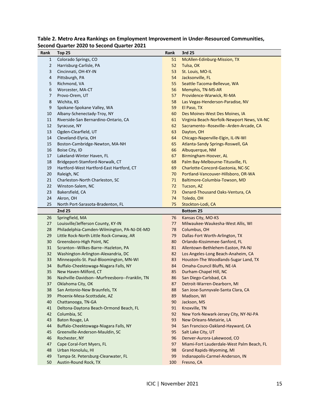| Rank           | Top 25                                         | Rank | 3rd 25                                     |
|----------------|------------------------------------------------|------|--------------------------------------------|
| 1              | Colorado Springs, CO                           | 51   | <b>McAllen-Edinburg-Mission, TX</b>        |
| 2              | Harrisburg-Carlisle, PA                        | 52   | Tulsa, OK                                  |
| 3              | Cincinnati, OH-KY-IN                           | 53   | St. Louis, MO-IL                           |
| $\overline{4}$ | Pittsburgh, PA                                 | 54   | Jacksonville, FL                           |
| 5              | Richmond, VA                                   | 55   | Seattle-Tacoma-Bellevue, WA                |
| 6              | Worcester, MA-CT                               | 56   | Memphis, TN-MS-AR                          |
| 7              | Provo-Orem, UT                                 | 57   | Providence-Warwick, RI-MA                  |
| 8              | Wichita, KS                                    | 58   | Las Vegas-Henderson-Paradise, NV           |
| 9              | Spokane-Spokane Valley, WA                     | 59   | El Paso, TX                                |
| 10             | Albany-Schenectady-Troy, NY                    | 60   | Des Moines-West Des Moines, IA             |
| 11             | Riverside-San Bernardino-Ontario, CA           | 61   | Virginia Beach-Norfolk-Newport News, VA-NC |
| 12             | Syracuse, NY                                   | 62   | Sacramento--Roseville--Arden-Arcade, CA    |
| 13             | Ogden-Clearfield, UT                           | 63   | Dayton, OH                                 |
| 14             | Cleveland-Elyria, OH                           | 64   | Chicago-Naperville-Elgin, IL-IN-WI         |
| 15             | Boston-Cambridge-Newton, MA-NH                 | 65   | Atlanta-Sandy Springs-Roswell, GA          |
| 16             | Boise City, ID                                 | 66   | Albuquerque, NM                            |
| 17             | Lakeland-Winter Haven, FL                      | 67   | Birmingham-Hoover, AL                      |
| 18             | Bridgeport-Stamford-Norwalk, CT                | 68   | Palm Bay-Melbourne-Titusville, FL          |
| 19             | Hartford-West Hartford-East Hartford, CT       | 69   | Charlotte-Concord-Gastonia, NC-SC          |
| 20             | Raleigh, NC                                    | 70   | Portland-Vancouver-Hillsboro, OR-WA        |
| 21             | Charleston-North Charleston, SC                | 71   | Baltimore-Columbia-Towson, MD              |
| 22             | Winston-Salem, NC                              | 72   | Tucson, AZ                                 |
| 23             | Bakersfield, CA                                | 73   | Oxnard-Thousand Oaks-Ventura, CA           |
| 24             | Akron, OH                                      | 74   | Toledo, OH                                 |
| 25             | North Port-Sarasota-Bradenton, FL              | 75   | Stockton-Lodi, CA                          |
|                |                                                |      |                                            |
|                |                                                |      |                                            |
|                | 2nd 25                                         |      | <b>Bottom 25</b>                           |
| 26             | Springfield, MA                                | 76   | Kansas City, MO-KS                         |
| 27             | Louisville/Jefferson County, KY-IN             | 77   | Milwaukee-Waukesha-West Allis, WI          |
| 28             | Philadelphia-Camden-Wilmington, PA-NJ-DE-MD    | 78   | Columbus, OH                               |
| 29             | Little Rock-North Little Rock-Conway, AR       | 79   | Dallas-Fort Worth-Arlington, TX            |
| 30             | Greensboro-High Point, NC                      | 80   | Orlando-Kissimmee-Sanford, FL              |
| 31             | Scranton--Wilkes-Barre--Hazleton, PA           | 81   | Allentown-Bethlehem-Easton, PA-NJ          |
| 32             | Washington-Arlington-Alexandria, DC            | 82   | Los Angeles-Long Beach-Anaheim, CA         |
| 33             | Minneapolis-St. Paul-Bloomington, MN-WI        | 83   | Houston-The Woodlands-Sugar Land, TX       |
| 34             | Buffalo-Cheektowaga-Niagara Falls, NY          | 84   | Omaha-Council Bluffs, NE-IA                |
| 35             | New Haven-Milford, CT                          | 85   | Durham-Chapel Hill, NC                     |
| 36             | Nashville-Davidson--Murfreesboro--Franklin, TN | 86   | San Diego-Carlsbad, CA                     |
| 37             | Oklahoma City, OK                              | 87   | Detroit-Warren-Dearborn, MI                |
| 38             | San Antonio-New Braunfels, TX                  | 88   | San Jose-Sunnyvale-Santa Clara, CA         |
| 39             | Phoenix-Mesa-Scottsdale, AZ                    | 89   | Madison, WI                                |
| 40             | Chattanooga, TN-GA                             | 90   | Jackson, MS                                |
| 41             | Deltona-Daytona Beach-Ormond Beach, FL         | 91   | Knoxville, TN                              |
| 42             | Columbia, SC                                   | 92   | New York-Newark-Jersey City, NY-NJ-PA      |
| 43             | Baton Rouge, LA                                | 93   | New Orleans-Metairie, LA                   |
| 44             | Buffalo-Cheektowaga-Niagara Falls, NY          | 94   | San Francisco-Oakland-Hayward, CA          |
| 45             | Greenville-Anderson-Mauldin, SC                | 95   | Salt Lake City, UT                         |
| 46             | Rochester, NY                                  | 96   | Denver-Aurora-Lakewood, CO                 |
| 47             | Cape Coral-Fort Myers, FL                      | 97   | Miami-Fort Lauderdale-West Palm Beach, FL  |
| 48             | Urban Honolulu, HI                             | 98   | Grand Rapids-Wyoming, MI                   |
| 49             | Tampa-St. Petersburg-Clearwater, FL            | 99   | Indianapolis-Carmel-Anderson, IN           |

#### **Table 2. Metro Area Rankings on Employment Improvement in Under-Resourced Communities, Second Quarter 2020 to Second Quarter 2021**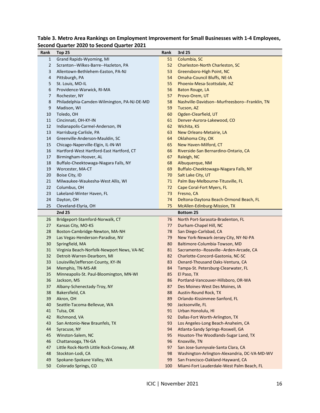| Rank         | Top 25                                      | Rank | 3rd 25                                         |
|--------------|---------------------------------------------|------|------------------------------------------------|
| $\mathbf{1}$ | Grand Rapids-Wyoming, MI                    | 51   | Columbia, SC                                   |
| 2            | Scranton--Wilkes-Barre--Hazleton, PA        | 52   | Charleston-North Charleston, SC                |
| 3            | Allentown-Bethlehem-Easton, PA-NJ           | 53   | Greensboro-High Point, NC                      |
| 4            | Pittsburgh, PA                              | 54   | Omaha-Council Bluffs, NE-IA                    |
| 5            | St. Louis, MO-IL                            | 55   | Phoenix-Mesa-Scottsdale, AZ                    |
| 6            | Providence-Warwick, RI-MA                   | 56   | <b>Baton Rouge, LA</b>                         |
| 7            | Rochester, NY                               | 57   | Provo-Orem, UT                                 |
| 8            | Philadelphia-Camden-Wilmington, PA-NJ-DE-MD | 58   | Nashville-Davidson--Murfreesboro--Franklin, TN |
| 9            | Madison, WI                                 | 59   | Tucson, AZ                                     |
| 10           | Toledo, OH                                  | 60   | Ogden-Clearfield, UT                           |
| 11           | Cincinnati, OH-KY-IN                        | 61   | Denver-Aurora-Lakewood, CO                     |
| 12           | Indianapolis-Carmel-Anderson, IN            | 62   | Wichita, KS                                    |
| 13           | Harrisburg-Carlisle, PA                     | 63   | New Orleans-Metairie, LA                       |
| 14           | Greenville-Anderson-Mauldin, SC             | 64   | Oklahoma City, OK                              |
| 15           | Chicago-Naperville-Elgin, IL-IN-WI          | 65   | New Haven-Milford, CT                          |
| 16           | Hartford-West Hartford-East Hartford, CT    | 66   | Riverside-San Bernardino-Ontario, CA           |
| 17           | Birmingham-Hoover, AL                       | 67   | Raleigh, NC                                    |
| 18           | Buffalo-Cheektowaga-Niagara Falls, NY       | 68   | Albuquerque, NM                                |
| 19           | Worcester, MA-CT                            | 69   | Buffalo-Cheektowaga-Niagara Falls, NY          |
| 20           | Boise City, ID                              | 70   | Salt Lake City, UT                             |
| 21           | Milwaukee-Waukesha-West Allis, WI           | 71   | Palm Bay-Melbourne-Titusville, FL              |
| 22           | Columbus, OH                                | 72   | Cape Coral-Fort Myers, FL                      |
| 23           | Lakeland-Winter Haven, FL                   | 73   | Fresno, CA                                     |
| 24           | Dayton, OH                                  | 74   | Deltona-Daytona Beach-Ormond Beach, FL         |
| 25           | Cleveland-Elyria, OH                        | 75   | McAllen-Edinburg-Mission, TX                   |
|              | 2nd 25                                      |      | <b>Bottom 25</b>                               |
| 26           | Bridgeport-Stamford-Norwalk, CT             | 76   | North Port-Sarasota-Bradenton, FL              |
| 27           | Kansas City, MO-KS                          | 77   | Durham-Chapel Hill, NC                         |
| 28           | Boston-Cambridge-Newton, MA-NH              | 78   | San Diego-Carlsbad, CA                         |
| 29           | Las Vegas-Henderson-Paradise, NV            | 79   | New York-Newark-Jersey City, NY-NJ-PA          |
| 30           | Springfield, MA                             | 80   | Baltimore-Columbia-Towson, MD                  |
| 31           | Virginia Beach-Norfolk-Newport News, VA-NC  | 81   | Sacramento--Roseville--Arden-Arcade, CA        |
| 32           | Detroit-Warren-Dearborn, MI                 | 82   | Charlotte-Concord-Gastonia, NC-SC              |
| 33           | Louisville/Jefferson County, KY-IN          | 83   | Oxnard-Thousand Oaks-Ventura, CA               |
| 34           | Memphis, TN-MS-AR                           | 84   | Tampa-St. Petersburg-Clearwater, FL            |
| 35           | Minneapolis-St. Paul-Bloomington, MN-WI     | 85   | El Paso, TX                                    |
| 36           | Jackson, MS                                 | 86   | Portland-Vancouver-Hillsboro, OR-WA            |
| 37           | Albany-Schenectady-Troy, NY                 | 87   | Des Moines-West Des Moines, IA                 |
| 38           | Bakersfield, CA                             | 88   | <b>Austin-Round Rock, TX</b>                   |
| 39           | Akron, OH                                   | 89   | Orlando-Kissimmee-Sanford, FL                  |
| 40           | Seattle-Tacoma-Bellevue, WA                 | 90   | Jacksonville, FL                               |
| 41           | Tulsa, OK                                   | 91   | Urban Honolulu, HI                             |
| 42           | Richmond, VA                                | 92   | Dallas-Fort Worth-Arlington, TX                |
| 43           | San Antonio-New Braunfels, TX               | 93   | Los Angeles-Long Beach-Anaheim, CA             |
| 44           | Syracuse, NY                                | 94   | Atlanta-Sandy Springs-Roswell, GA              |
| 45           | Winston-Salem, NC                           | 95   | Houston-The Woodlands-Sugar Land, TX           |
| 46           | Chattanooga, TN-GA                          | 96   | Knoxville, TN                                  |
| 47           | Little Rock-North Little Rock-Conway, AR    | 97   | San Jose-Sunnyvale-Santa Clara, CA             |
| 48           | Stockton-Lodi, CA                           | 98   | Washington-Arlington-Alexandria, DC-VA-MD-WV   |
| 49           | Spokane-Spokane Valley, WA                  | 99   | San Francisco-Oakland-Hayward, CA              |
| 50           | Colorado Springs, CO                        | 100  | Miami-Fort Lauderdale-West Palm Beach, FL      |

# **Table 3. Metro Area Rankings on Employment Improvement for Small Businesses with 1-4 Employees, Second Quarter 2020 to Second Quarter 2021**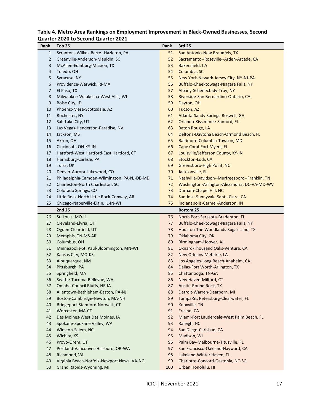| Table 4. Metro Area Rankings on Employment Improvement in Black-Owned Businesses, Second |  |
|------------------------------------------------------------------------------------------|--|
| <b>Quarter 2020 to Second Quarter 2021</b>                                               |  |

| Rank         | Top 25                                      | Rank | 3rd 25                                                  |
|--------------|---------------------------------------------|------|---------------------------------------------------------|
| $\mathbf{1}$ | Scranton--Wilkes-Barre--Hazleton, PA        | 51   | San Antonio-New Braunfels, TX                           |
| 2            | Greenville-Anderson-Mauldin, SC             | 52   | Sacramento--Roseville--Arden-Arcade, CA                 |
| 3            | McAllen-Edinburg-Mission, TX                | 53   | Bakersfield, CA                                         |
| 4            | Toledo, OH                                  | 54   | Columbia, SC                                            |
| 5            | Syracuse, NY                                | 55   | New York-Newark-Jersey City, NY-NJ-PA                   |
| 6            | Providence-Warwick, RI-MA                   | 56   | Buffalo-Cheektowaga-Niagara Falls, NY                   |
| 7            | El Paso, TX                                 | 57   | Albany-Schenectady-Troy, NY                             |
| 8            | Milwaukee-Waukesha-West Allis, WI           | 58   | Riverside-San Bernardino-Ontario, CA                    |
| 9            | Boise City, ID                              | 59   | Dayton, OH                                              |
| 10           | Phoenix-Mesa-Scottsdale, AZ                 | 60   | Tucson, AZ                                              |
| 11           | Rochester, NY                               | 61   | Atlanta-Sandy Springs-Roswell, GA                       |
| 12           | Salt Lake City, UT                          | 62   | Orlando-Kissimmee-Sanford, FL                           |
| 13           | Las Vegas-Henderson-Paradise, NV            | 63   | Baton Rouge, LA                                         |
| 14           | Jackson, MS                                 | 64   | Deltona-Daytona Beach-Ormond Beach, FL                  |
| 15           | Akron, OH                                   | 65   | Baltimore-Columbia-Towson, MD                           |
| 16           | Cincinnati, OH-KY-IN                        | 66   | Cape Coral-Fort Myers, FL                               |
| 17           | Hartford-West Hartford-East Hartford, CT    | 67   | Louisville/Jefferson County, KY-IN                      |
| 18           | Harrisburg-Carlisle, PA                     | 68   | Stockton-Lodi, CA                                       |
| 19           | Tulsa, OK                                   | 69   | Greensboro-High Point, NC                               |
| 20           | Denver-Aurora-Lakewood, CO                  | 70   | Jacksonville, FL                                        |
| 21           | Philadelphia-Camden-Wilmington, PA-NJ-DE-MD | 71   | Nashville-Davidson--Murfreesboro--Franklin, TN          |
| 22           | Charleston-North Charleston, SC             | 72   | Washington-Arlington-Alexandria, DC-VA-MD-WV            |
| 23           | Colorado Springs, CO                        | 73   | Durham-Chapel Hill, NC                                  |
| 24           | Little Rock-North Little Rock-Conway, AR    | 74   | San Jose-Sunnyvale-Santa Clara, CA                      |
| 25           | Chicago-Naperville-Elgin, IL-IN-WI          | 75   | Indianapolis-Carmel-Anderson, IN                        |
|              |                                             |      |                                                         |
|              | 2nd 25                                      |      | <b>Bottom 25</b>                                        |
| 26           | St. Louis, MO-IL                            | 76   | North Port-Sarasota-Bradenton, FL                       |
| 27           | Cleveland-Elyria, OH                        | 77   | Buffalo-Cheektowaga-Niagara Falls, NY                   |
| 28           | Ogden-Clearfield, UT                        | 78   | Houston-The Woodlands-Sugar Land, TX                    |
| 29           | Memphis, TN-MS-AR                           | 79   | Oklahoma City, OK                                       |
| 30           | Columbus, OH                                | 80   | Birmingham-Hoover, AL                                   |
| 31           | Minneapolis-St. Paul-Bloomington, MN-WI     | 81   | Oxnard-Thousand Oaks-Ventura, CA                        |
| 32           | Kansas City, MO-KS                          | 82   | New Orleans-Metairie, LA                                |
| 33           | Albuquerque, NM                             | 83   | Los Angeles-Long Beach-Anaheim, CA                      |
| 34           | Pittsburgh, PA                              | 84   | Dallas-Fort Worth-Arlington, TX                         |
| 35           | Springfield, MA                             | 85   | Chattanooga, TN-GA                                      |
| 36           | Seattle-Tacoma-Bellevue, WA                 | 86   | New Haven-Milford, CT                                   |
| 37           | Omaha-Council Bluffs, NE-IA                 | 87   | Austin-Round Rock, TX                                   |
| 38           | Allentown-Bethlehem-Easton, PA-NJ           | 88   | Detroit-Warren-Dearborn, MI                             |
| 39           | Boston-Cambridge-Newton, MA-NH              | 89   | Tampa-St. Petersburg-Clearwater, FL                     |
| 40           | Bridgeport-Stamford-Norwalk, CT             | 90   | Knoxville, TN                                           |
| 41           | Worcester, MA-CT                            | 91   | Fresno, CA                                              |
| 42           | Des Moines-West Des Moines, IA              | 92   | Miami-Fort Lauderdale-West Palm Beach, FL               |
| 43           | Spokane-Spokane Valley, WA                  | 93   | Raleigh, NC                                             |
| 44           | Winston-Salem, NC                           | 94   | San Diego-Carlsbad, CA                                  |
| 45           | Wichita, KS                                 | 95   | Madison, WI                                             |
| 46           | Provo-Orem, UT                              | 96   | Palm Bay-Melbourne-Titusville, FL                       |
| 47           | Portland-Vancouver-Hillsboro, OR-WA         | 97   | San Francisco-Oakland-Hayward, CA                       |
| 48           | Richmond, VA                                | 98   | Lakeland-Winter Haven, FL                               |
| 49           | Virginia Beach-Norfolk-Newport News, VA-NC  | 99   | Charlotte-Concord-Gastonia, NC-SC<br>Urban Honolulu, HI |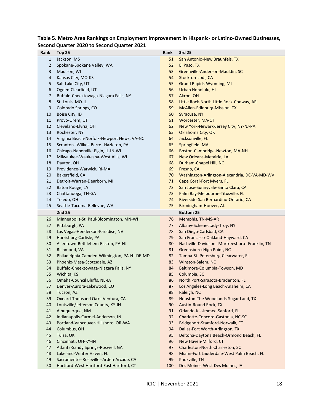| Rank           | Top 25                                      | Rank | 3rd 25                                         |
|----------------|---------------------------------------------|------|------------------------------------------------|
| $\mathbf{1}$   | Jackson, MS                                 | 51   | San Antonio-New Braunfels, TX                  |
| $\overline{2}$ | Spokane-Spokane Valley, WA                  | 52   | El Paso, TX                                    |
| 3              | Madison, WI                                 | 53   | Greenville-Anderson-Mauldin, SC                |
| 4              | Kansas City, MO-KS                          | 54   | Stockton-Lodi, CA                              |
| 5              | Salt Lake City, UT                          | 55   | <b>Grand Rapids-Wyoming, MI</b>                |
| 6              | Ogden-Clearfield, UT                        | 56   | Urban Honolulu, HI                             |
| 7              | Buffalo-Cheektowaga-Niagara Falls, NY       | 57   | Akron, OH                                      |
| 8              | St. Louis, MO-IL                            | 58   | Little Rock-North Little Rock-Conway, AR       |
| 9              | Colorado Springs, CO                        | 59   | McAllen-Edinburg-Mission, TX                   |
| 10             | Boise City, ID                              | 60   | Syracuse, NY                                   |
| 11             | Provo-Orem, UT                              | 61   | <b>Worcester, MA-CT</b>                        |
| 12             | Cleveland-Elyria, OH                        | 62   | New York-Newark-Jersey City, NY-NJ-PA          |
| 13             | Rochester, NY                               | 63   | Oklahoma City, OK                              |
| 14             | Virginia Beach-Norfolk-Newport News, VA-NC  | 64   | Jacksonville, FL                               |
| 15             | Scranton--Wilkes-Barre--Hazleton, PA        | 65   | Springfield, MA                                |
| 16             | Chicago-Naperville-Elgin, IL-IN-WI          | 66   | Boston-Cambridge-Newton, MA-NH                 |
| 17             | Milwaukee-Waukesha-West Allis, WI           | 67   | New Orleans-Metairie, LA                       |
| 18             | Dayton, OH                                  | 68   | Durham-Chapel Hill, NC                         |
| 19             | Providence-Warwick, RI-MA                   | 69   | Fresno, CA                                     |
| 20             | Bakersfield, CA                             | 70   | Washington-Arlington-Alexandria, DC-VA-MD-WV   |
| 21             | Detroit-Warren-Dearborn, MI                 | 71   | Cape Coral-Fort Myers, FL                      |
| 22             | Baton Rouge, LA                             | 72   | San Jose-Sunnyvale-Santa Clara, CA             |
| 23             | Chattanooga, TN-GA                          | 73   | Palm Bay-Melbourne-Titusville, FL              |
| 24             | Toledo, OH                                  | 74   | Riverside-San Bernardino-Ontario, CA           |
| 25             | Seattle-Tacoma-Bellevue, WA                 | 75   | Birmingham-Hoover, AL                          |
|                | 2nd 25                                      |      | <b>Bottom 25</b>                               |
| 26             | Minneapolis-St. Paul-Bloomington, MN-WI     | 76   | Memphis, TN-MS-AR                              |
| 27             | Pittsburgh, PA                              | 77   | Albany-Schenectady-Troy, NY                    |
| 28             | Las Vegas-Henderson-Paradise, NV            | 78   | San Diego-Carlsbad, CA                         |
| 29             | Harrisburg-Carlisle, PA                     | 79   | San Francisco-Oakland-Hayward, CA              |
| 30             | Allentown-Bethlehem-Easton, PA-NJ           | 80   | Nashville-Davidson--Murfreesboro--Franklin, TN |
| 31             | Richmond, VA                                | 81   | Greensboro-High Point, NC                      |
| 32             | Philadelphia-Camden-Wilmington, PA-NJ-DE-MD | 82   | Tampa-St. Petersburg-Clearwater, FL            |
| 33             | Phoenix-Mesa-Scottsdale, AZ                 | 83   | Winston-Salem, NC                              |
| 34             | Buffalo-Cheektowaga-Niagara Falls, NY       | 84   | Baltimore-Columbia-Towson, MD                  |
| 35             | Wichita, KS                                 | 85   | Columbia, SC                                   |
| 36             | Omaha-Council Bluffs, NE-IA                 | 86   | North Port-Sarasota-Bradenton, FL              |
| 37             | Denver-Aurora-Lakewood, CO                  | 87   | Los Angeles-Long Beach-Anaheim, CA             |
| 38             | Tucson, AZ                                  | 88   | Raleigh, NC                                    |
| 39             | Oxnard-Thousand Oaks-Ventura, CA            | 89   | Houston-The Woodlands-Sugar Land, TX           |
| 40             | Louisville/Jefferson County, KY-IN          | 90   | Austin-Round Rock, TX                          |
| 41             | Albuquerque, NM                             | 91   | Orlando-Kissimmee-Sanford, FL                  |
| 42             | Indianapolis-Carmel-Anderson, IN            | 92   | Charlotte-Concord-Gastonia, NC-SC              |
| 43             | Portland-Vancouver-Hillsboro, OR-WA         | 93   | Bridgeport-Stamford-Norwalk, CT                |
| 44             | Columbus, OH                                | 94   | Dallas-Fort Worth-Arlington, TX                |
| 45             | Tulsa, OK                                   | 95   | Deltona-Daytona Beach-Ormond Beach, FL         |
| 46             | Cincinnati, OH-KY-IN                        | 96   | New Haven-Milford, CT                          |
| 47             | Atlanta-Sandy Springs-Roswell, GA           | 97   | Charleston-North Charleston, SC                |
| 48             | Lakeland-Winter Haven, FL                   | 98   | Miami-Fort Lauderdale-West Palm Beach, FL      |
| 49             | Sacramento--Roseville--Arden-Arcade, CA     | 99   | Knoxville, TN                                  |
| 50             | Hartford-West Hartford-East Hartford, CT    | 100  | Des Moines-West Des Moines, IA                 |

# **Table 5. Metro Area Rankings on Employment Improvement in Hispanic- or Latino-Owned Businesses, Second Quarter 2020 to Second Quarter 2021**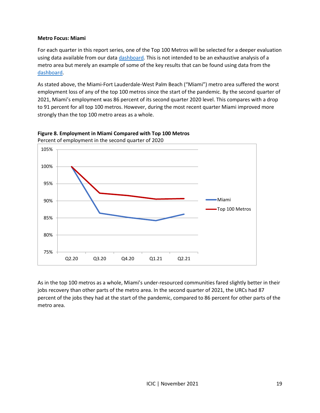#### **Metro Focus: Miami**

For each quarter in this report series, one of the Top 100 Metros will be selected for a deeper evaluation using data available from our data [dashboard](http://youreconomy.org/topmetrorecoverytracker)*.* This is not intended to be an exhaustive analysis of a metro area but merely an example of some of the key results that can be found using data from the [dashboard.](http://youreconomy.org/topmetrorecoverytracker)

As stated above, the Miami-Fort Lauderdale-West Palm Beach ("Miami") metro area suffered the worst employment loss of any of the top 100 metros since the start of the pandemic. By the second quarter of 2021, Miami's employment was 86 percent of its second quarter 2020 level. This compares with a drop to 91 percent for all top 100 metros. However, during the most recent quarter Miami improved more strongly than the top 100 metro areas as a whole.



**Figure 8. Employment in Miami Compared with Top 100 Metros** Percent of employment in the second quarter of 2020

As in the top 100 metros as a whole, Miami's under-resourced communities fared slightly better in their jobs recovery than other parts of the metro area. In the second quarter of 2021, the URCs had 87 percent of the jobs they had at the start of the pandemic, compared to 86 percent for other parts of the metro area.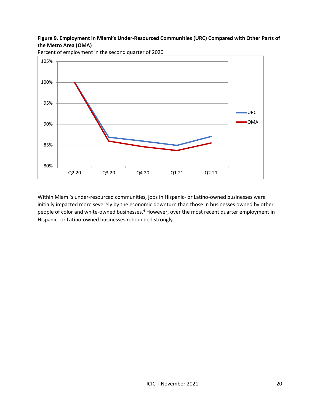#### **Figure 9. Employment in Miami's Under-Resourced Communities (URC) Compared with Other Parts of the Metro Area (OMA)**



Percent of employment in the second quarter of 2020

Within Miami's under-resourced communities, jobs in Hispanic- or Latino-owned businesses were initially impacted more severely by the economic downturn than those in businesses owned by other people of color and white-owned businesses.<sup>4</sup> However, over the most recent quarter employment in Hispanic- or Latino-owned businesses rebounded strongly.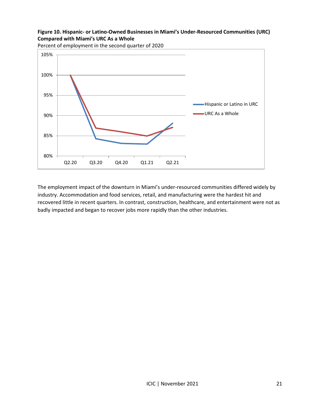# **Figure 10. Hispanic- or Latino-Owned Businesses in Miami's Under-Resourced Communities (URC) Compared with Miami's URC As a Whole**



Percent of employment in the second quarter of 2020

The employment impact of the downturn in Miami's under-resourced communities differed widely by industry. Accommodation and food services, retail, and manufacturing were the hardest hit and recovered little in recent quarters. In contrast, construction, healthcare, and entertainment were not as badly impacted and began to recover jobs more rapidly than the other industries.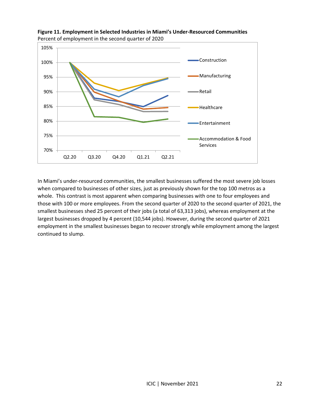

**Figure 11. Employment in Selected Industries in Miami's Under-Resourced Communities** Percent of employment in the second quarter of 2020

In Miami's under-resourced communities, the smallest businesses suffered the most severe job losses when compared to businesses of other sizes, just as previously shown for the top 100 metros as a whole. This contrast is most apparent when comparing businesses with one to four employees and those with 100 or more employees. From the second quarter of 2020 to the second quarter of 2021, the smallest businesses shed 25 percent of their jobs (a total of 63,313 jobs), whereas employment at the largest businesses dropped by 4 percent (10,544 jobs). However, during the second quarter of 2021 employment in the smallest businesses began to recover strongly while employment among the largest continued to slump.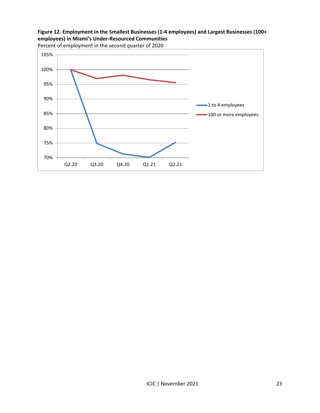



Percent of employment in the second quarter of 2020